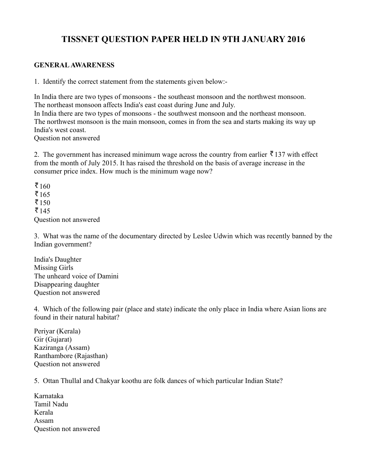# **TISSNET QUESTION PAPER HELD IN 9TH JANUARY 2016**

#### **GENERAL AWARENESS**

1. Identify the correct statement from the statements given below:-

In India there are two types of monsoons - the southeast monsoon and the northwest monsoon. The northeast monsoon affects India's east coast during June and July. In India there are two types of monsoons - the southwest monsoon and the northeast monsoon. The northwest monsoon is the main monsoon, comes in from the sea and starts making its way up India's west coast. Question not answered

2. The government has increased minimum wage across the country from earlier  $\bar{\bar{\mathbf{x}}}$  137 with effect from the month of July 2015. It has raised the threshold on the basis of average increase in the consumer price index. How much is the minimum wage now?

₹ $160$  $\bar{5}165$  $\bar{5}150$  $\bar{5}145$ Question not answered

3. What was the name of the documentary directed by Leslee Udwin which was recently banned by the Indian government?

India's Daughter Missing Girls The unheard voice of Damini Disappearing daughter Question not answered

4. Which of the following pair (place and state) indicate the only place in India where Asian lions are found in their natural habitat?

Periyar (Kerala) Gir (Gujarat) Kaziranga (Assam) Ranthambore (Rajasthan) Question not answered

5. Ottan Thullal and Chakyar koothu are folk dances of which particular Indian State?

Karnataka Tamil Nadu Kerala Assam Question not answered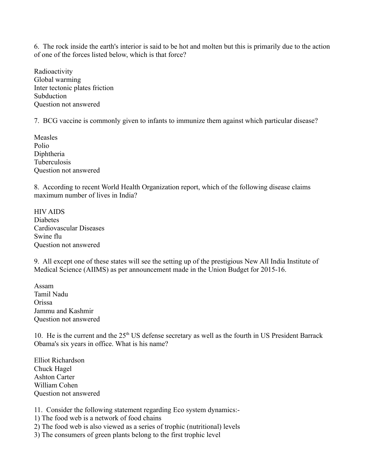6. The rock inside the earth's interior is said to be hot and molten but this is primarily due to the action of one of the forces listed below, which is that force?

Radioactivity Global warming Inter tectonic plates friction Subduction Question not answered

7. BCG vaccine is commonly given to infants to immunize them against which particular disease?

Measles Polio Diphtheria Tuberculosis Question not answered

8. According to recent World Health Organization report, which of the following disease claims maximum number of lives in India?

HIV AIDS Diabetes Cardiovascular Diseases Swine flu Question not answered

9. All except one of these states will see the setting up of the prestigious New All India Institute of Medical Science (AIIMS) as per announcement made in the Union Budget for 2015-16.

Assam Tamil Nadu Orissa Jammu and Kashmir Question not answered

10. He is the current and the  $25<sup>th</sup> US$  defense secretary as well as the fourth in US President Barrack Obama's six years in office. What is his name?

Elliot Richardson Chuck Hagel Ashton Carter William Cohen Question not answered

11. Consider the following statement regarding Eco system dynamics:-

- 1) The food web is a network of food chains
- 2) The food web is also viewed as a series of trophic (nutritional) levels
- 3) The consumers of green plants belong to the first trophic level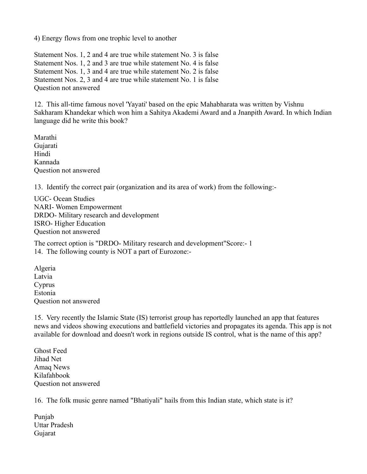4) Energy flows from one trophic level to another

Statement Nos. 1, 2 and 4 are true while statement No. 3 is false Statement Nos. 1, 2 and 3 are true while statement No. 4 is false Statement Nos. 1, 3 and 4 are true while statement No. 2 is false Statement Nos. 2, 3 and 4 are true while statement No. 1 is false Question not answered

12. This all-time famous novel 'Yayati' based on the epic Mahabharata was written by Vishnu Sakharam Khandekar which won him a Sahitya Akademi Award and a Jnanpith Award. In which Indian language did he write this book?

Marathi Gujarati Hindi Kannada Question not answered

13. Identify the correct pair (organization and its area of work) from the following:-

UGC- Ocean Studies NARI- Women Empowerment DRDO- Military research and development ISRO- Higher Education Question not answered

The correct option is "DRDO- Military research and development"Score:- 1 14. The following county is NOT a part of Eurozone:-

Algeria Latvia Cyprus Estonia Question not answered

15. Very recently the Islamic State (IS) terrorist group has reportedly launched an app that features news and videos showing executions and battlefield victories and propagates its agenda. This app is not available for download and doesn't work in regions outside IS control, what is the name of this app?

Ghost Feed Jihad Net Amaq News Kilafahbook Question not answered

16. The folk music genre named "Bhatiyali" hails from this Indian state, which state is it?

Punjab Uttar Pradesh Gujarat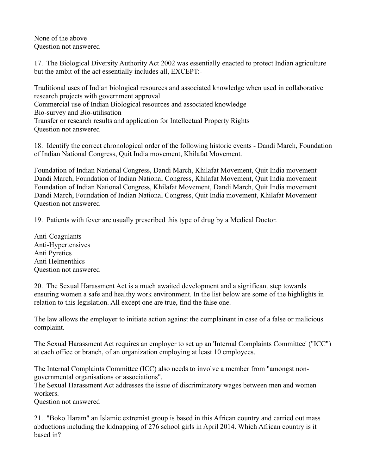None of the above Question not answered

17. The Biological Diversity Authority Act 2002 was essentially enacted to protect Indian agriculture but the ambit of the act essentially includes all, EXCEPT:-

Traditional uses of Indian biological resources and associated knowledge when used in collaborative research projects with government approval Commercial use of Indian Biological resources and associated knowledge Bio-survey and Bio-utilisation Transfer or research results and application for Intellectual Property Rights Question not answered

18. Identify the correct chronological order of the following historic events - Dandi March, Foundation of Indian National Congress, Quit India movement, Khilafat Movement.

Foundation of Indian National Congress, Dandi March, Khilafat Movement, Quit India movement Dandi March, Foundation of Indian National Congress, Khilafat Movement, Quit India movement Foundation of Indian National Congress, Khilafat Movement, Dandi March, Quit India movement Dandi March, Foundation of Indian National Congress, Quit India movement, Khilafat Movement Question not answered

19.Patients with fever are usually prescribed this type of drug by a Medical Doctor.

Anti-Coagulants Anti-Hypertensives Anti Pyretics Anti Helmenthics Question not answered

20. The Sexual Harassment Act is a much awaited development and a significant step towards ensuring women a safe and healthy work environment. In the list below are some of the highlights in relation to this legislation. All except one are true, find the false one.

The law allows the employer to initiate action against the complainant in case of a false or malicious complaint.

The Sexual Harassment Act requires an employer to set up an 'Internal Complaints Committee' ("ICC") at each office or branch, of an organization employing at least 10 employees.

The Internal Complaints Committee (ICC) also needs to involve a member from "amongst nongovernmental organisations or associations".

The Sexual Harassment Act addresses the issue of discriminatory wages between men and women workers.

Question not answered

21."Boko Haram" an Islamic extremist group is based in this African country and carried out mass abductions including the kidnapping of 276 school girls in April 2014. Which African country is it based in?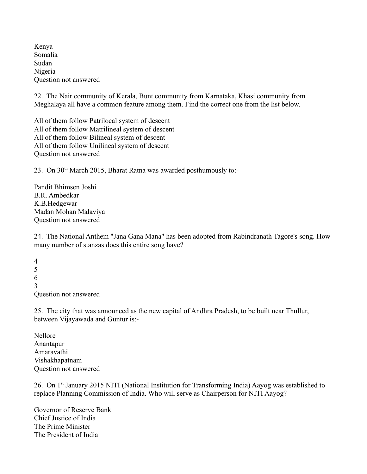Kenya Somalia Sudan Nigeria Question not answered

22. The Nair community of Kerala, Bunt community from Karnataka, Khasi community from Meghalaya all have a common feature among them. Find the correct one from the list below.

All of them follow Patrilocal system of descent All of them follow Matrilineal system of descent All of them follow Bilineal system of descent All of them follow Unilineal system of descent Question not answered

23. On 30<sup>th</sup> March 2015, Bharat Ratna was awarded posthumously to:-

Pandit Bhimsen Joshi B.R. Ambedkar K.B.Hedgewar Madan Mohan Malaviya Question not answered

24. The National Anthem "Jana Gana Mana" has been adopted from Rabindranath Tagore's song. How many number of stanzas does this entire song have?

4 5 6 3 Question not answered

25.The city that was announced as the new capital of Andhra Pradesh, to be built near Thullur, between Vijayawada and Guntur is:-

Nellore Anantapur Amaravathi Vishakhapatnam Question not answered

26. On 1<sup>st</sup> January 2015 NITI (National Institution for Transforming India) Aayog was established to replace Planning Commission of India. Who will serve as Chairperson for NITI Aayog?

Governor of Reserve Bank Chief Justice of India The Prime Minister The President of India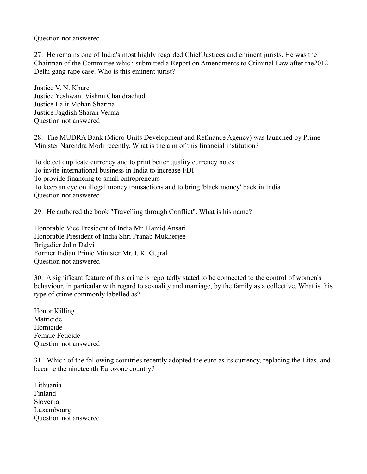Question not answered

27. He remains one of India's most highly regarded Chief Justices and eminent jurists. He was the Chairman of the Committee which submitted a Report on Amendments to Criminal Law after the2012 Delhi gang rape case. Who is this eminent jurist?

Justice V. N. Khare Justice Yeshwant Vishnu Chandrachud Justice Lalit Mohan Sharma Justice Jagdish Sharan Verma Question not answered

28.The MUDRA Bank (Micro Units Development and Refinance Agency) was launched by Prime Minister Narendra Modi recently. What is the aim of this financial institution?

To detect duplicate currency and to print better quality currency notes To invite international business in India to increase FDI To provide financing to small entrepreneurs To keep an eye on illegal money transactions and to bring 'black money' back in India Question not answered

29. He authored the book "Travelling through Conflict". What is his name?

Honorable Vice President of India Mr. Hamid Ansari Honorable President of India Shri Pranab Mukherjee Brigadier John Dalvi Former Indian Prime Minister Mr. I. K. Gujral Question not answered

30. A significant feature of this crime is reportedly stated to be connected to the control of women's behaviour, in particular with regard to sexuality and marriage, by the family as a collective. What is this type of crime commonly labelled as?

Honor Killing Matricide Homicide Female Feticide Question not answered

31.Which of the following countries recently adopted the euro as its currency, replacing the Litas, and became the nineteenth Eurozone country?

Lithuania Finland Slovenia Luxembourg Question not answered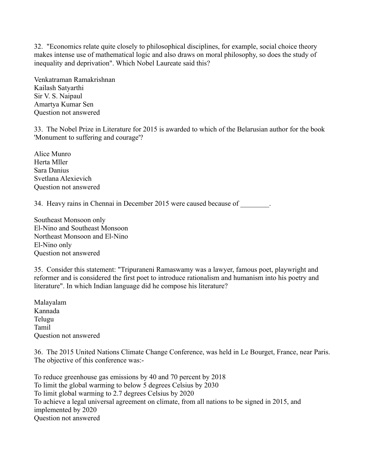32."Economics relate quite closely to philosophical disciplines, for example, social choice theory makes intense use of mathematical logic and also draws on moral philosophy, so does the study of inequality and deprivation". Which Nobel Laureate said this?

Venkatraman Ramakrishnan Kailash Satyarthi Sir V. S. Naipaul Amartya Kumar Sen Question not answered

33. The Nobel Prize in Literature for 2015 is awarded to which of the Belarusian author for the book 'Monument to suffering and courage'?

Alice Munro Herta Mller Sara Danius Svetlana Alexievich Question not answered

34. Heavy rains in Chennai in December 2015 were caused because of \_\_\_\_\_\_\_.

Southeast Monsoon only El-Nino and Southeast Monsoon Northeast Monsoon and El-Nino El-Nino only Question not answered

35.Consider this statement: "Tripuraneni Ramaswamy was a lawyer, famous poet, playwright and reformer and is considered the first poet to introduce rationalism and humanism into his poetry and literature". In which Indian language did he compose his literature?

Malayalam Kannada Telugu Tamil Question not answered

36. The 2015 United Nations Climate Change Conference, was held in Le Bourget, France, near Paris. The objective of this conference was:-

To reduce greenhouse gas emissions by 40 and 70 percent by 2018 To limit the global warming to below 5 degrees Celsius by 2030 To limit global warming to 2.7 degrees Celsius by 2020 To achieve a legal universal agreement on climate, from all nations to be signed in 2015, and implemented by 2020 Question not answered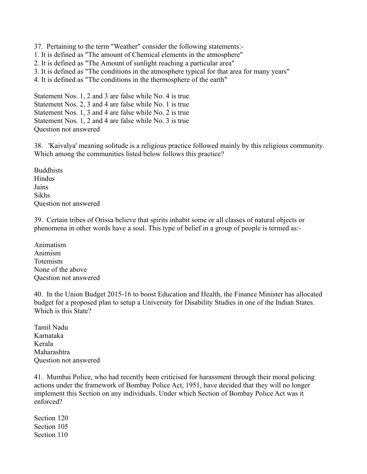- 37.Pertaining to the term "Weather" consider the following statements:-
- 1. It is defined as "The amount of Chemical elements in the atmosphere"
- 2. It is defined as "The Amount of sunlight reaching a particular area"
- 3. It is defined as "The conditions in the atmosphere typical for that area for many years"
- 4. It is defined as "The conditions in the thermosphere of the earth"

Statement Nos. 1, 2 and 3 are false while No. 4 is true Statement Nos. 2, 3 and 4 are false while No. 1 is true Statement Nos. 1, 3 and 4 are false while No. 2 is true Statement Nos. 1, 2 and 4 are false while No. 3 is true Question not answered

38.'Kaivalya' meaning solitude is a religious practice followed mainly by this religious community. Which among the communities listed below follows this practice?

Buddhists Hindus Jains Sikhs Question not answered

39. Certain tribes of Orissa believe that spirits inhabit some or all classes of natural objects or phenomena in other words have a soul. This type of belief in a group of people is termed as:-

Animatism Animism Totemism None of the above Question not answered

40.In the Union Budget 2015-16 to boost Education and Health, the Finance Minister has allocated budget for a proposed plan to setup a University for Disability Studies in one of the Indian States. Which is this State?

Tamil Nadu Karnataka Kerala Maharashtra Question not answered

41.Mumbai Police, who had recently been criticised for harassment through their moral policing actions under the framework of Bombay Police Act, 1951, have decided that they will no longer implement this Section on any individuals. Under which Section of Bombay Police Act was it enforced?

Section 120 Section 105 Section 110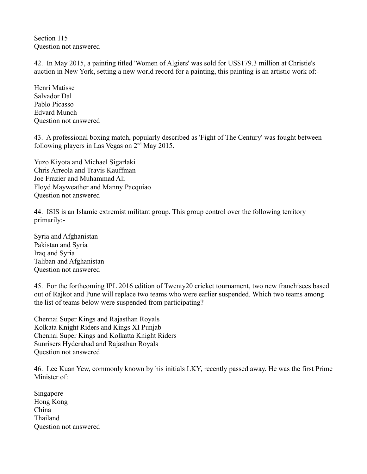Section 115 Question not answered

42.In May 2015, a painting titled 'Women of Algiers' was sold for US\$179.3 million at Christie's auction in New York, setting a new world record for a painting, this painting is an artistic work of:-

Henri Matisse Salvador Dal Pablo Picasso Edvard Munch Question not answered

43. A professional boxing match, popularly described as 'Fight of The Century' was fought between following players in Las Vegas on  $2<sup>nd</sup>$  May 2015.

Yuzo Kiyota and Michael Sigarlaki Chris Arreola and Travis Kauffman Joe Frazier and Muhammad Ali Floyd Mayweather and Manny Pacquiao Question not answered

44. ISIS is an Islamic extremist militant group. This group control over the following territory primarily:-

Syria and Afghanistan Pakistan and Syria Iraq and Syria Taliban and Afghanistan Question not answered

45.For the forthcoming IPL 2016 edition of Twenty20 cricket tournament, two new franchisees based out of Rajkot and Pune will replace two teams who were earlier suspended. Which two teams among the list of teams below were suspended from participating?

Chennai Super Kings and Rajasthan Royals Kolkata Knight Riders and Kings XI Punjab Chennai Super Kings and Kolkatta Knight Riders Sunrisers Hyderabad and Rajasthan Royals Question not answered

46.Lee Kuan Yew, commonly known by his initials LKY, recently passed away. He was the first Prime Minister of:

Singapore Hong Kong China Thailand Question not answered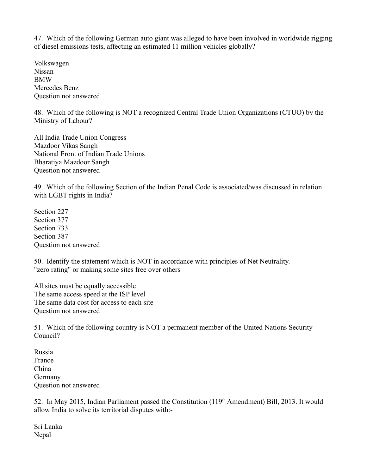47. Which of the following German auto giant was alleged to have been involved in worldwide rigging of diesel emissions tests, affecting an estimated 11 million vehicles globally?

Volkswagen Nissan BMW Mercedes Benz Question not answered

48. Which of the following is NOT a recognized Central Trade Union Organizations (CTUO) by the Ministry of Labour?

All India Trade Union Congress Mazdoor Vikas Sangh National Front of Indian Trade Unions Bharatiya Mazdoor Sangh Question not answered

49. Which of the following Section of the Indian Penal Code is associated/was discussed in relation with LGBT rights in India?

Section 227 Section 377 Section 733 Section 387 Question not answered

50. Identify the statement which is NOT in accordance with principles of Net Neutrality. "zero rating" or making some sites free over others

All sites must be equally accessible The same access speed at the ISP level The same data cost for access to each site Question not answered

51. Which of the following country is NOT a permanent member of the United Nations Security Council?

Russia France China Germany Question not answered

52. In May 2015, Indian Parliament passed the Constitution (119<sup>th</sup> Amendment) Bill, 2013. It would allow India to solve its territorial disputes with:-

Sri Lanka Nepal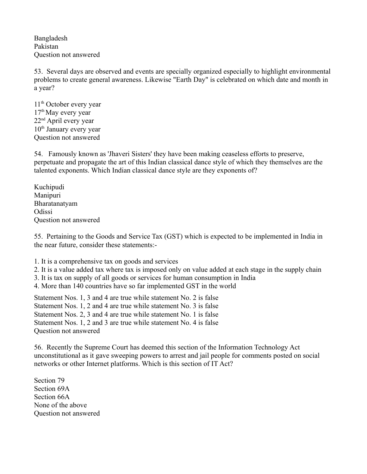Bangladesh Pakistan Question not answered

53.Several days are observed and events are specially organized especially to highlight environmental problems to create general awareness. Likewise "Earth Day" is celebrated on which date and month in a year?

11<sup>th</sup> October every year 17<sup>th</sup> May every year 22nd April every year  $10<sup>th</sup>$  January every year Question not answered

54.Famously known as 'Jhaveri Sisters' they have been making ceaseless efforts to preserve, perpetuate and propagate the art of this Indian classical dance style of which they themselves are the talented exponents. Which Indian classical dance style are they exponents of?

Kuchipudi Manipuri Bharatanatyam Odissi Question not answered

55. Pertaining to the Goods and Service Tax (GST) which is expected to be implemented in India in the near future, consider these statements:-

1. It is a comprehensive tax on goods and services

- 2. It is a value added tax where tax is imposed only on value added at each stage in the supply chain
- 3. It is tax on supply of all goods or services for human consumption in India
- 4. More than 140 countries have so far implemented GST in the world

Statement Nos. 1, 3 and 4 are true while statement No. 2 is false Statement Nos. 1, 2 and 4 are true while statement No. 3 is false Statement Nos. 2, 3 and 4 are true while statement No. 1 is false Statement Nos. 1, 2 and 3 are true while statement No. 4 is false Question not answered

56.Recently the Supreme Court has deemed this section of the Information Technology Act unconstitutional as it gave sweeping powers to arrest and jail people for comments posted on social networks or other Internet platforms. Which is this section of IT Act?

Section 79 Section 69A Section 66A None of the above Question not answered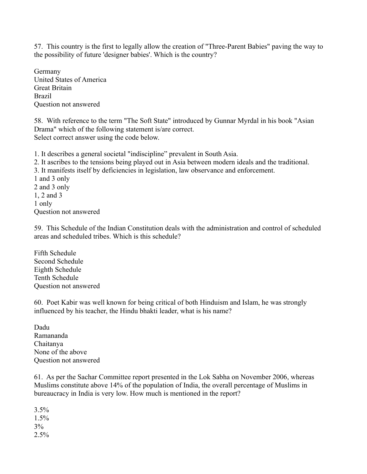57.This country is the first to legally allow the creation of "Three-Parent Babies" paving the way to the possibility of future 'designer babies'. Which is the country?

Germany United States of America Great Britain Brazil Question not answered

58.With reference to the term "The Soft State" introduced by Gunnar Myrdal in his book "Asian Drama" which of the following statement is/are correct. Select correct answer using the code below.

1. It describes a general societal "indiscipline" prevalent in South Asia.

2. It ascribes to the tensions being played out in Asia between modern ideals and the traditional.

3. It manifests itself by deficiencies in legislation, law observance and enforcement.

1 and 3 only 2 and 3 only

1, 2 and 3

1 only

Question not answered

59. This Schedule of the Indian Constitution deals with the administration and control of scheduled areas and scheduled tribes. Which is this schedule?

Fifth Schedule Second Schedule Eighth Schedule Tenth Schedule Question not answered

60.Poet Kabir was well known for being critical of both Hinduism and Islam, he was strongly influenced by his teacher, the Hindu bhakti leader, what is his name?

Dadu Ramananda Chaitanya None of the above Question not answered

61. As per the Sachar Committee report presented in the Lok Sabha on November 2006, whereas Muslims constitute above 14% of the population of India, the overall percentage of Muslims in bureaucracy in India is very low. How much is mentioned in the report?

 $3.5%$ 1.5% 3%  $2.5%$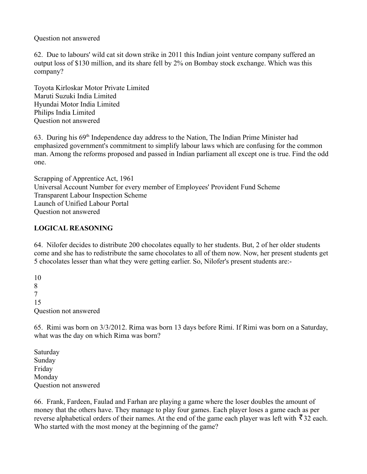Question not answered

62. Due to labours' wild cat sit down strike in 2011 this Indian joint venture company suffered an output loss of \$130 million, and its share fell by 2% on Bombay stock exchange. Which was this company?

Toyota Kirloskar Motor Private Limited Maruti Suzuki India Limited Hyundai Motor India Limited Philips India Limited Question not answered

63.During his 69th Independence day address to the Nation, The Indian Prime Minister had emphasized government's commitment to simplify labour laws which are confusing for the common man. Among the reforms proposed and passed in Indian parliament all except one is true. Find the odd one.

Scrapping of Apprentice Act, 1961 Universal Account Number for every member of Employees' Provident Fund Scheme Transparent Labour Inspection Scheme Launch of Unified Labour Portal Question not answered

## **LOGICAL REASONING**

64. Nilofer decides to distribute 200 chocolates equally to her students. But, 2 of her older students come and she has to redistribute the same chocolates to all of them now. Now, her present students get 5 chocolates lesser than what they were getting earlier. So, Nilofer's present students are:-

10 8 7 15 Question not answered

65.Rimi was born on 3/3/2012. Rima was born 13 days before Rimi. If Rimi was born on a Saturday, what was the day on which Rima was born?

Saturday Sunday Friday Monday Question not answered

66. Frank, Fardeen, Faulad and Farhan are playing a game where the loser doubles the amount of money that the others have. They manage to play four games. Each player loses a game each as per reverse alphabetical orders of their names. At the end of the game each player was left with  $\bar{z}$  32 each. Who started with the most money at the beginning of the game?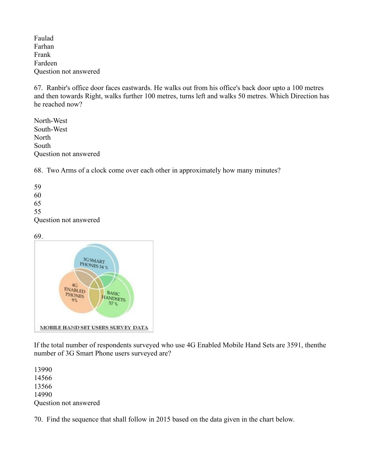Faulad Farhan Frank Fardeen Question not answered

67. Ranbir's office door faces eastwards. He walks out from his office's back door upto a 100 metres and then towards Right, walks further 100 metres, turns left and walks 50 metres. Which Direction has he reached now?

North-West South-West **North** South Question not answered

68.Two Arms of a clock come over each other in approximately how many minutes?

59 60 65 55 Question not answered

#### 69.



If the total number of respondents surveyed who use 4G Enabled Mobile Hand Sets are 3591, thenthe number of 3G Smart Phone users surveyed are?

13990 14566 13566 14990 Question not answered

70. Find the sequence that shall follow in 2015 based on the data given in the chart below.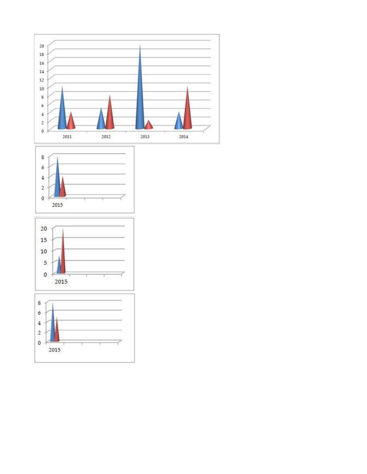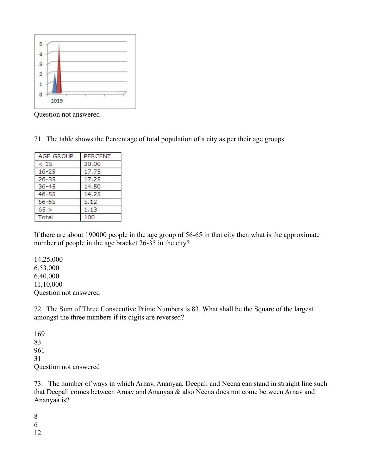

Question not answered

71. The table shows the Percentage of total population of a city as per their age groups.

| <b>AGE GROUP</b> | PERCENT |
|------------------|---------|
| < 15             | 30.00   |
| $16 - 25$        | 17.75   |
| $26 - 35$        | 17.25   |
| $36 - 45$        | 14.50   |
| $46 - 55$        | 14.25   |
| $56 - 65$        | 5.12    |
| 65 >             | 1.13    |
| Total            | 100     |

If there are about 190000 people in the age group of 56-65 in that city then what is the approximate number of people in the age bracket 26-35 in the city?

14,25,000 6,53,000 6,40,000 11,10,000 Question not answered

72. The Sum of Three Consecutive Prime Numbers is 83. What shall be the Square of the largest amongst the three numbers if its digits are reversed?

169 83 961 31 Question not answered

73. The number of ways in which Arnav, Ananyaa, Deepali and Neena can stand in straight line such that Deepali comes between Arnav and Ananyaa & also Neena does not come between Arnav and Ananyaa is?

8 6 12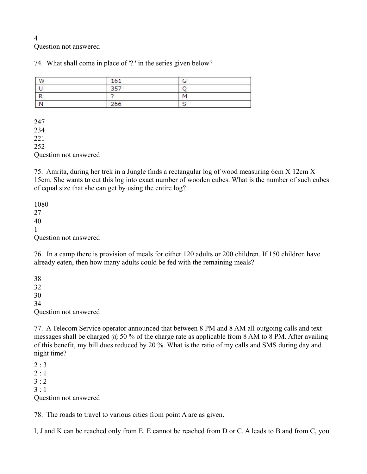#### 4 Question not answered

74. What shall come in place of '? ' in the series given below?

| W | 161 |   |  |
|---|-----|---|--|
|   | つロフ |   |  |
| − |     | N |  |
|   | 266 |   |  |

247 234 221 252 Question not answered

75. Amrita, during her trek in a Jungle finds a rectangular log of wood measuring 6cm X 12cm X 15cm. She wants to cut this log into exact number of wooden cubes. What is the number of such cubes of equal size that she can get by using the entire log?

1080 27 40 1 Question not answered

76. In a camp there is provision of meals for either 120 adults or 200 children. If 150 children have already eaten, then how many adults could be fed with the remaining meals?

38 32 30 34 Question not answered

77. A Telecom Service operator announced that between 8 PM and 8 AM all outgoing calls and text messages shall be charged  $\omega$  50 % of the charge rate as applicable from 8 AM to 8 PM. After availing of this benefit, my bill dues reduced by 20 %. What is the ratio of my calls and SMS during day and night time?

 $2:3$  $2 : 1$  $3:2$  $3 \cdot 1$ Question not answered

78. The roads to travel to various cities from point A are as given.

I, J and K can be reached only from E. E cannot be reached from D or C. A leads to B and from C, you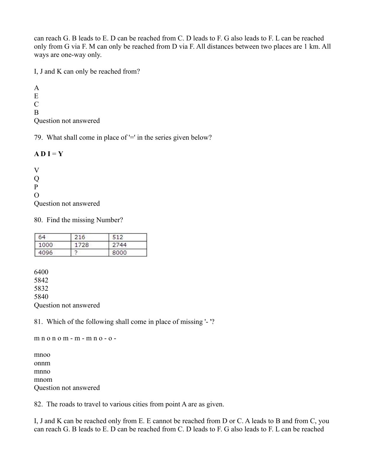can reach G. B leads to E. D can be reached from C. D leads to F. G also leads to F. L can be reached only from G via F. M can only be reached from D via F. All distances between two places are 1 km. All ways are one-way only.

I, J and K can only be reached from?

A E  $\mathcal{C}$ B Question not answered

79. What shall come in place of '=' in the series given below?

### $A D I = Y$

V  $\overline{O}$ P O Question not answered

80. Find the missing Number?

| 64   | 216  | 512  |  |
|------|------|------|--|
| 1000 | 1728 | 2744 |  |
| 4096 |      | 8000 |  |

6400 5842 5832 5840 Question not answered

81. Which of the following shall come in place of missing '- '?

m n o n o m - m - m n o - o -

mnoo onnm mnno mnom Question not answered

82. The roads to travel to various cities from point A are as given.

I, J and K can be reached only from E. E cannot be reached from D or C. A leads to B and from C, you can reach G. B leads to E. D can be reached from C. D leads to F. G also leads to F. L can be reached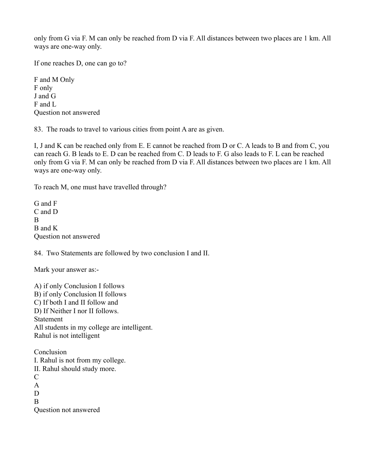only from G via F. M can only be reached from D via F. All distances between two places are 1 km. All ways are one-way only.

If one reaches D, one can go to?

F and M Only F only J and G F and L Question not answered

83. The roads to travel to various cities from point A are as given.

I, J and K can be reached only from E. E cannot be reached from D or C. A leads to B and from C, you can reach G. B leads to E. D can be reached from C. D leads to F. G also leads to F. L can be reached only from G via F. M can only be reached from D via F. All distances between two places are 1 km. All ways are one-way only.

To reach M, one must have travelled through?

G and F C and D <sub>R</sub> B and K Question not answered

84. Two Statements are followed by two conclusion I and II.

Mark your answer as:-

A) if only Conclusion I follows B) if only Conclusion II follows C) If both I and II follow and D) If Neither I nor II follows. Statement All students in my college are intelligent. Rahul is not intelligent

**Conclusion** I. Rahul is not from my college. II. Rahul should study more.  $\mathcal{C}$ A D B Question not answered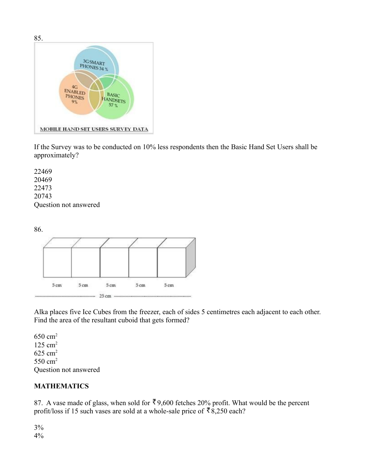

If the Survey was to be conducted on 10% less respondents then the Basic Hand Set Users shall be approximately?

22469 20469 22473 20743 Question not answered



Alka places five Ice Cubes from the freezer, each of sides 5 centimetres each adjacent to each other. Find the area of the resultant cuboid that gets formed?

 $650 \text{ cm}^2$ 125 cm<sup>2</sup>  $625$  cm<sup>2</sup> 550 cm<sup>2</sup> Question not answered

## **MATHEMATICS**

87. A vase made of glass, when sold for  $\bar{\xi}$  9,600 fetches 20% profit. What would be the percent profit/loss if 15 such vases are sold at a whole-sale price of  $\bar{8}8,250$  each?

3% 4%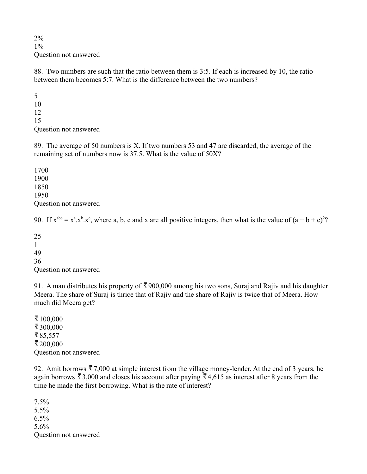2% 1% Question not answered

88. Two numbers are such that the ratio between them is 3:5. If each is increased by 10, the ratio between them becomes 5:7. What is the difference between the two numbers?

5 10 12 15 Question not answered

89. The average of 50 numbers is X. If two numbers 53 and 47 are discarded, the average of the remaining set of numbers now is 37.5. What is the value of 50X?

1700 1900 1850 1950 Question not answered

90. If  $x^{abc} = x^a \cdot x^b \cdot x^c$ , where a, b, c and x are all positive integers, then what is the value of  $(a + b + c)^2$ ?

25

1

49

36

Question not answered

91. A man distributes his property of  $\bar{\xi}$  900,000 among his two sons, Suraj and Rajiv and his daughter Meera. The share of Suraj is thrice that of Rajiv and the share of Rajiv is twice that of Meera. How much did Meera get?

₹ $100,000$ ₹300,000 ₹85,557  $\bar{z}$  200,000 Question not answered

92. Amit borrows  $\bar{z}$  7,000 at simple interest from the village money-lender. At the end of 3 years, he again borrows  $\bar{\mathfrak{g}}$  3,000 and closes his account after paying  $\bar{\mathfrak{g}}$  4,615 as interest after 8 years from the time he made the first borrowing. What is the rate of interest?

7.5% 5.5% 6.5% 5.6% Question not answered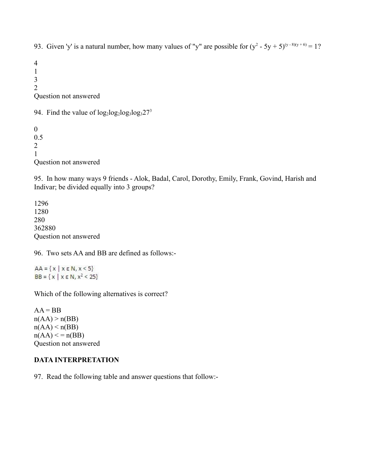93. Given 'y' is a natural number, how many values of "y" are possible for  $(y^2 - 5y + 5)^{(y-8)(y+6)} = 1$ ?

4 1 3 2 Question not answered

94. Find the value of  $log_2log_2log_327^3$ 

0 0.5 2 1 Question not answered

95. In how many ways 9 friends - Alok, Badal, Carol, Dorothy, Emily, Frank, Govind, Harish and Indivar; be divided equally into 3 groups?

1296 1280 280 362880 Question not answered

96. Two sets AA and BB are defined as follows:-

 $AA = \{x \mid x \in \mathbb{N}, x \leq 5\}$  $BB = {x | x \in N, x^2 < 25}$ 

Which of the following alternatives is correct?

 $AA = BB$  $n(AA) > n(BB)$  $n(AA) < n(BB)$  $n(AA) \leq n(BB)$ Question not answered

#### **DATA INTERPRETATION**

97. Read the following table and answer questions that follow:-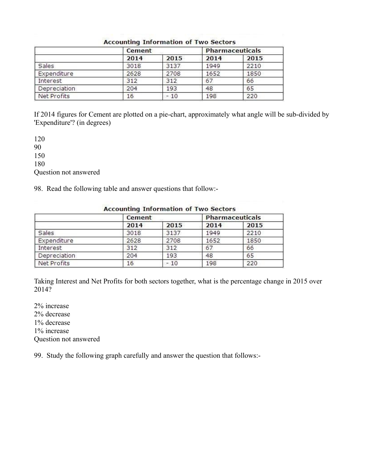|              | Cement | <b>Pharmaceuticals</b> |      |      |  |
|--------------|--------|------------------------|------|------|--|
|              | 2014   | 2015                   | 2014 | 2015 |  |
| Sales        | 3018   | 3137                   | 1949 | 2210 |  |
| Expenditure  | 2628   | 2708                   | 1652 | 1850 |  |
| Interest     | 312    | 312                    | 67   | 66   |  |
| Depreciation | 204    | 193                    | 48   | 65   |  |
| Net Profits  | 16     | $-10$                  | 198  | 220  |  |

#### **Accounting Information of Two Sectors**

If 2014 figures for Cement are plotted on a pie-chart, approximately what angle will be sub-divided by 'Expenditure'? (in degrees)

120 90 150 180 Question not answered

98. Read the following table and answer questions that follow:-

|              | Cement |       | <b>Pharmaceuticals</b> |      |  |
|--------------|--------|-------|------------------------|------|--|
|              | 2014   | 2015  | 2014                   | 2015 |  |
| Sales        | 3018   | 3137  | 1949                   | 2210 |  |
| Expenditure  | 2628   | 2708  | 1652                   | 1850 |  |
| Interest     | 312    | 312   | 67                     | 66   |  |
| Depreciation | 204    | 193   | 48                     | 65   |  |
| Net Profits  | 16     | $-10$ | 198                    | 220  |  |

#### **Accounting Information of Two Sectors**

Taking Interest and Net Profits for both sectors together, what is the percentage change in 2015 over 2014?

2% increase 2% decrease 1% decrease 1% increase Question not answered

99. Study the following graph carefully and answer the question that follows:-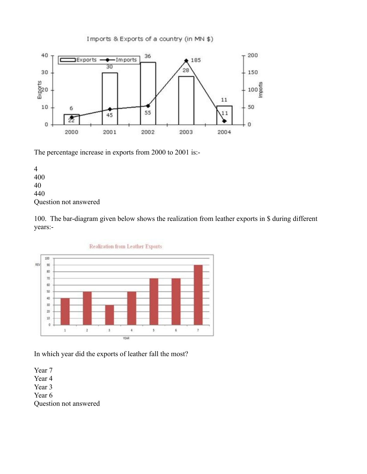

Imports & Exports of a country (in MN \$)

The percentage increase in exports from 2000 to 2001 is:-

4 400 40 440 Question not answered

100. The bar-diagram given below shows the realization from leather exports in \$ during different years:-



In which year did the exports of leather fall the most?

Year 7 Year 4 Year 3 Year 6 Question not answered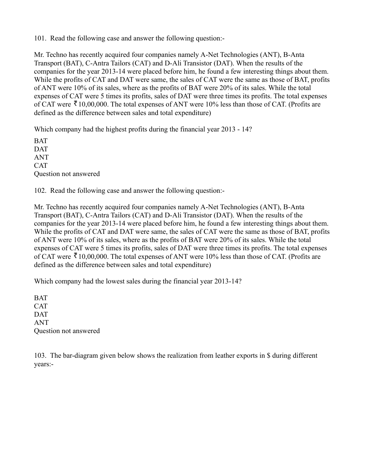101. Read the following case and answer the following question:-

Mr. Techno has recently acquired four companies namely A-Net Technologies (ANT), B-Anta Transport (BAT), C-Antra Tailors (CAT) and D-Ali Transistor (DAT). When the results of the companies for the year 2013-14 were placed before him, he found a few interesting things about them. While the profits of CAT and DAT were same, the sales of CAT were the same as those of BAT, profits of ANT were 10% of its sales, where as the profits of BAT were 20% of its sales. While the total expenses of CAT were 5 times its profits, sales of DAT were three times its profits. The total expenses of CAT were  $\bar{\mathcal{R}}$  10,00,000. The total expenses of ANT were 10% less than those of CAT. (Profits are defined as the difference between sales and total expenditure)

Which company had the highest profits during the financial year 2013 - 14?

BAT **DAT** ANT **CAT** Question not answered

102. Read the following case and answer the following question:-

Mr. Techno has recently acquired four companies namely A-Net Technologies (ANT), B-Anta Transport (BAT), C-Antra Tailors (CAT) and D-Ali Transistor (DAT). When the results of the companies for the year 2013-14 were placed before him, he found a few interesting things about them. While the profits of CAT and DAT were same, the sales of CAT were the same as those of BAT, profits of ANT were 10% of its sales, where as the profits of BAT were 20% of its sales. While the total expenses of CAT were 5 times its profits, sales of DAT were three times its profits. The total expenses of CAT were  $\bar{\mathcal{R}}$  10,00,000. The total expenses of ANT were 10% less than those of CAT. (Profits are defined as the difference between sales and total expenditure)

Which company had the lowest sales during the financial year 2013-14?

BAT **CAT** DAT ANT Question not answered

103. The bar-diagram given below shows the realization from leather exports in \$ during different years:-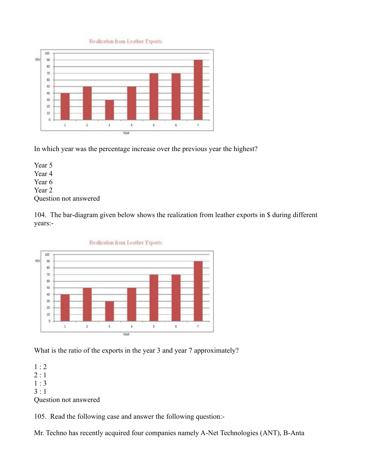**Realization from Leather Exports** 



In which year was the percentage increase over the previous year the highest?

Year 5 Year 4 Year 6 Year 2 Question not answered

104. The bar-diagram given below shows the realization from leather exports in \$ during different years:-



What is the ratio of the exports in the year 3 and year 7 approximately?

1 : 2  $2:1$ 1 : 3  $3:1$ 

Question not answered

105. Read the following case and answer the following question:-

Mr. Techno has recently acquired four companies namely A-Net Technologies (ANT), B-Anta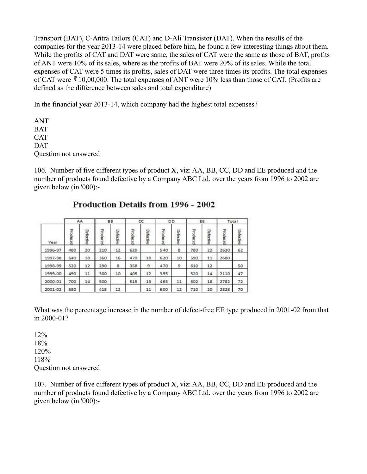Transport (BAT), C-Antra Tailors (CAT) and D-Ali Transistor (DAT). When the results of the companies for the year 2013-14 were placed before him, he found a few interesting things about them. While the profits of CAT and DAT were same, the sales of CAT were the same as those of BAT, profits of ANT were 10% of its sales, where as the profits of BAT were 20% of its sales. While the total expenses of CAT were 5 times its profits, sales of DAT were three times its profits. The total expenses of CAT were  $\bar{\mathcal{K}}$  10,00,000. The total expenses of ANT were 10% less than those of CAT. (Profits are defined as the difference between sales and total expenditure)

In the financial year 2013-14, which company had the highest total expenses?

ANT **BAT CAT** DAT Question not answered

106. Number of five different types of product X, viz: AA, BB, CC, DD and EE produced and the number of products found defective by a Company ABC Ltd. over the years from 1996 to 2002 are given below (in '000):-

|         | AA       |           | <b>BB</b> |           |          | CC        | DD       |           |          | EE        | Total    |           |
|---------|----------|-----------|-----------|-----------|----------|-----------|----------|-----------|----------|-----------|----------|-----------|
| Year    | Produced | Defective | Produced  | Defective | Produced | Defective | Produced | Defective | Produced | Defective | Produced | Defective |
| 1996-97 | 480      | 20        | 210       | 12        | 620      |           | 540      | 8         | 780      | 22        | 2630     | 62        |
| 1997-98 | 640      | 18        | 360       | 16        | 470      | 18        | 620      | 10        | 590      | 11        | 2680     |           |
| 1998-99 | 520      | 12        | 290       | s.        | 358      | э         | 470      | 9         | 610      | 12        |          | 50        |
| 1999-00 | 490      | 11        | 300       | 10        | 405      | 12        | 395      |           | 520      | 14        | 2110     | 47        |
| 2000-01 | 700      | 14        | 500       |           | 515      | 13        | 465      | 11        | 602      | 18        | 2782     | 72        |
| 2001-02 | 580      |           | 418       | 12        |          | 11        | 600      | 12        | 710      | 20        | 2828     | 70        |

## **Production Details from 1996 - 2002**

What was the percentage increase in the number of defect-free EE type produced in 2001-02 from that in 2000-01?

12% 18% 120% 118% Question not answered

107. Number of five different types of product X, viz: AA, BB, CC, DD and EE produced and the number of products found defective by a Company ABC Ltd. over the years from 1996 to 2002 are given below (in '000):-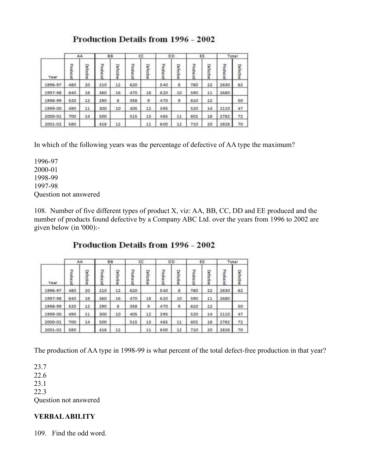# **Production Details from 1996 - 2002**

|         | AA       |           | <b>BB</b> |           |          | CC        | <b>DD</b> |           |          | EE        | Total    |           |
|---------|----------|-----------|-----------|-----------|----------|-----------|-----------|-----------|----------|-----------|----------|-----------|
| Year    | Produced | Defective | Produced  | Defective | Produced | Defective | Produced  | Defective | Produced | Defective | Produced | Defective |
| 1996-97 | 480      | 20        | 210       | 12        | 620      |           | 540       | 8         | 780      | 22        | 2630     | 62        |
| 1997-98 | 640      | 18        | 360       | 16        | 470      | 18        | 620       | 10        | 590      | 11        | 2680     |           |
| 1998-99 | 520      | 12        | 290       | 8         | 358      | э         | 470       | 9         | 610      | 12        |          | 50        |
| 1999-00 | 490      | 11        | 300       | 10        | 405      | 12        | 395       |           | 520      | 14        | 2110     | 47        |
| 2000-01 | 700      | 14        | 500       |           | 515      | 13        | 465       | 11        | 602      | 18        | 2782     | 72        |
| 2001-02 | 580      |           | 418       | 12        |          | 11        | 600       | 12        | 710      | 20        | 2828     | 70        |

In which of the following years was the percentage of defective of AA type the maximum?

1996-97 2000-01 1998-99 1997-98 Question not answered

108. Number of five different types of product X, viz: AA, BB, CC, DD and EE produced and the number of products found defective by a Company ABC Ltd. over the years from 1996 to 2002 are given below (in '000):-

## Production Details from 1996 - 2002

|         | AA       |           | <b>BB</b> |           |          | CC        | DD       |           |          | EE        | Total    |           |
|---------|----------|-----------|-----------|-----------|----------|-----------|----------|-----------|----------|-----------|----------|-----------|
| Year    | Produced | Defective | Produced  | Defective | Produced | Defective | Produced | Defective | Produced | Defective | Produced | Defective |
| 1996-97 | 480      | 20        | 210       | 12        | 620      |           | 540      | 8         | 780      | 22        | 2630     | 62        |
| 1997-98 | 640      | 18        | 360       | 16        | 470      | 18        | 620      | 10        | 590      | 11        | 2680     |           |
| 1998-99 | 520      | 12        | 290       | s.        | 358      | э         | 470      | 9         | 610      | 12        |          | 50        |
| 1999-00 | 490      | 11        | 300       | 10        | 405      | 12        | 395      |           | 520      | 14        | 2110     | 47        |
| 2000-01 | 700      | 14        | 500       |           | 515      | 13        | 465      | 11        | 602      | 18        | 2782     | 72        |
| 2001-02 | 580      |           | 418       | 12        |          | 11        | 600      | 12        | 710      | 20        | 2828     | 70        |

The production of AA type in 1998-99 is what percent of the total defect-free production in that year?

23.7 22.6 23.1 22.3 Question not answered

## **VERBAL ABILITY**

109. Find the odd word.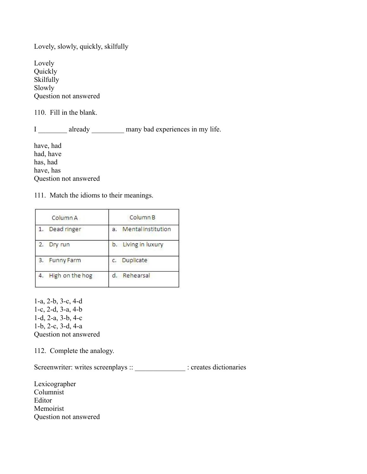Lovely, slowly, quickly, skilfully

Lovely Quickly Skilfully Slowly Question not answered

110. Fill in the blank.

I \_\_\_\_\_\_\_\_ already \_\_\_\_\_\_\_\_\_ many bad experiences in my life.

have, had had, have has, had have, has Question not answered

111. Match the idioms to their meanings.

| Column A          | Column <sub>B</sub>             |
|-------------------|---------------------------------|
| Dead ringer       | <b>Mental</b> institution<br>a. |
| Dry run           | b. Living in luxury             |
| <b>Funny Farm</b> | Duplicate<br>C.                 |
| High on the hog   | Rehearsal                       |

1-a, 2-b, 3-c, 4-d 1-c, 2-d, 3-a, 4-b 1-d, 2-a, 3-b, 4-c 1-b, 2-c, 3-d, 4-a Question not answered

112. Complete the analogy.

Screenwriter: writes screenplays :: \_\_\_\_\_\_\_\_\_\_\_\_\_\_\_\_\_ : creates dictionaries

Lexicographer Columnist Editor Memoirist Question not answered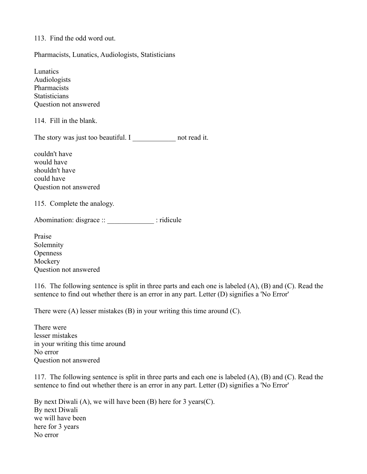113. Find the odd word out.

Pharmacists, Lunatics, Audiologists, Statisticians

Lunatics Audiologists Pharmacists **Statisticians** Question not answered

114. Fill in the blank.

The story was just too beautiful. I mot read it.

couldn't have would have shouldn't have could have Question not answered

115. Complete the analogy.

Abomination: disgrace ::  $\qquad \qquad$  : ridicule

Praise Solemnity **Openness Mockery** Question not answered

116. The following sentence is split in three parts and each one is labeled (A), (B) and (C). Read the sentence to find out whether there is an error in any part. Letter (D) signifies a 'No Error'

There were (A) lesser mistakes (B) in your writing this time around (C).

There were lesser mistakes in your writing this time around No error Question not answered

117. The following sentence is split in three parts and each one is labeled (A), (B) and (C). Read the sentence to find out whether there is an error in any part. Letter (D) signifies a 'No Error'

By next Diwali  $(A)$ , we will have been  $(B)$  here for 3 years $(C)$ . By next Diwali we will have been here for 3 years No error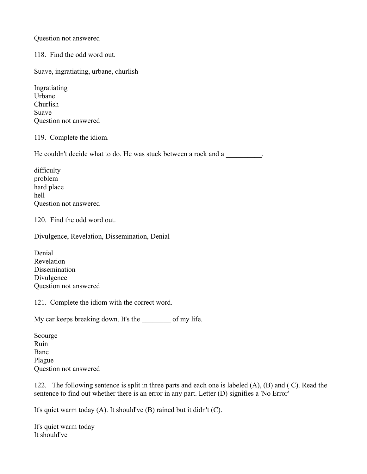#### Question not answered

118. Find the odd word out.

Suave, ingratiating, urbane, churlish

Ingratiating Urbane Churlish Suave Question not answered

119. Complete the idiom.

He couldn't decide what to do. He was stuck between a rock and a

difficulty problem hard place hell Question not answered

120. Find the odd word out.

Divulgence, Revelation, Dissemination, Denial

Denial Revelation Dissemination Divulgence Question not answered

121. Complete the idiom with the correct word.

My car keeps breaking down. It's the of my life.

Scourge Ruin Bane Plague Question not answered

122.The following sentence is split in three parts and each one is labeled (A), (B) and ( C). Read the sentence to find out whether there is an error in any part. Letter (D) signifies a 'No Error'

It's quiet warm today (A). It should've (B) rained but it didn't (C).

It's quiet warm today It should've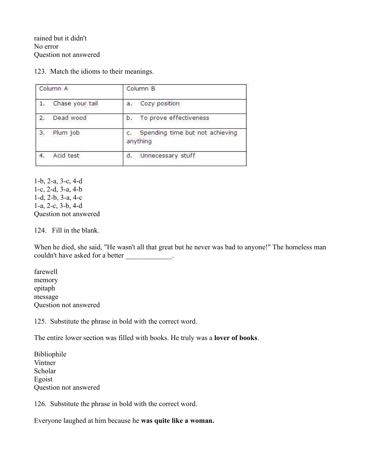rained but it didn't No error Question not answered

123. Match the idioms to their meanings.

| Column A        | Column <sub>B</sub>                         |
|-----------------|---------------------------------------------|
| Chase your tail | Cozy position<br>a.                         |
| Dead wood<br>2. | b. To prove effectiveness                   |
| 3.<br>Plum job  | Spending time but not achieving<br>anything |
| Acid test<br>4. | Unnecessary stuff<br>d.                     |

1-b, 2-a, 3-c, 4-d 1-c, 2-d, 3-a, 4-b 1-d, 2-b, 3-a, 4-c 1-a, 2-c, 3-b, 4-d Question not answered

124. Fill in the blank.

When he died, she said, "He wasn't all that great but he never was bad to anyone!" The homeless man couldn't have asked for a better \_\_\_\_\_\_\_\_\_\_\_\_.

farewell memory epitaph message Question not answered

125. Substitute the phrase in bold with the correct word.

The entire lower section was filled with books. He truly was a **lover of books**.

Bibliophile Vintner Scholar Egoist Question not answered

126. Substitute the phrase in bold with the correct word.

Everyone laughed at him because he **was quite like a woman.**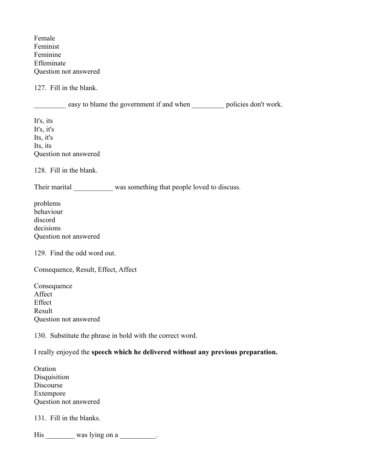Female Feminist Feminine Effeminate Question not answered

127. Fill in the blank.

easy to blame the government if and when \_\_\_\_\_\_\_\_\_ policies don't work.

It's, its It's, it's Its, it's Its, its Question not answered

128. Fill in the blank.

Their marital was something that people loved to discuss.

problems behaviour discord decisions Question not answered

129. Find the odd word out.

Consequence, Result, Effect, Affect

Consequence Affect **Effect** Result Question not answered

130. Substitute the phrase in bold with the correct word.

I really enjoyed the **speech which he delivered without any previous preparation.**

Oration **Disquisition** Discourse Extempore Question not answered

131. Fill in the blanks.

His was lying on a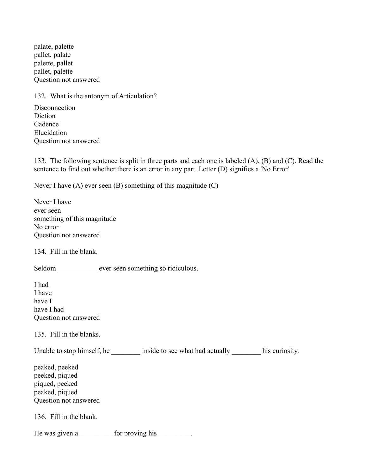palate, palette pallet, palate palette, pallet pallet, palette Question not answered

132. What is the antonym of Articulation?

**Disconnection** Diction Cadence Elucidation Question not answered

133. The following sentence is split in three parts and each one is labeled (A), (B) and (C). Read the sentence to find out whether there is an error in any part. Letter (D) signifies a 'No Error'

Never I have (A) ever seen (B) something of this magnitude (C)

| Never I have                 |
|------------------------------|
| ever seen                    |
| something of this magnitude. |
| No error                     |
| Question not answered        |

134. Fill in the blank.

Seldom \_\_\_\_\_\_\_\_\_\_ ever seen something so ridiculous.

I had I have have I have I had Question not answered

135. Fill in the blanks.

Unable to stop himself, he \_\_\_\_\_\_\_\_\_ inside to see what had actually \_\_\_\_\_\_\_\_\_ his curiosity.

peaked, peeked peeked, piqued piqued, peeked peaked, piqued Question not answered

136. Fill in the blank.

He was given a \_\_\_\_\_\_\_\_\_\_ for proving his \_\_\_\_\_\_\_\_.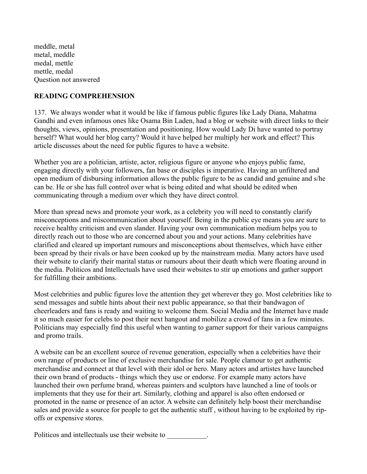meddle, metal metal, meddle medal, mettle mettle, medal Question not answered

## **READING COMPREHENSION**

137. We always wonder what it would be like if famous public figures like Lady Diana, Mahatma Gandhi and even infamous ones like Osama Bin Laden, had a blog or website with direct links to their thoughts, views, opinions, presentation and positioning. How would Lady Di have wanted to portray herself? What would her blog carry? Would it have helped her multiply her work and effect? This article discusses about the need for public figures to have a website.

Whether you are a politician, artiste, actor, religious figure or anyone who enjoys public fame, engaging directly with your followers, fan base or disciples is imperative. Having an unfiltered and open medium of disbursing information allows the public figure to be as candid and genuine and s/he can be. He or she has full control over what is being edited and what should be edited when communicating through a medium over which they have direct control.

More than spread news and promote your work, as a celebrity you will need to constantly clarify misconceptions and miscommunication about yourself. Being in the public eye means you are sure to receive healthy criticism and even slander. Having your own communication medium helps you to directly reach out to those who are concerned about you and your actions. Many celebrities have clarified and cleared up important rumours and misconceptions about themselves, which have either been spread by their rivals or have been cooked up by the mainstream media. Many actors have used their website to clarify their marital status or rumours about their death which were floating around in the media. Politicos and Intellectuals have used their websites to stir up emotions and gather support for fulfilling their ambitions.

Most celebrities and public figures love the attention they get wherever they go. Most celebrities like to send messages and subtle hints about their next public appearance, so that their bandwagon of cheerleaders and fans is ready and waiting to welcome them. Social Media and the Internet have made it so much easier for celebs to post their next hangout and mobilize a crowd of fans in a few minutes. Politicians may especially find this useful when wanting to garner support for their various campaigns and promo trails.

A website can be an excellent source of revenue generation, especially when a celebrities have their own range of products or line of exclusive merchandise for sale. People clamour to get authentic merchandise and connect at that level with their idol or hero. Many actors and artistes have launched their own brand of products - things which they use or endorse. For example many actors have launched their own perfume brand, whereas painters and sculptors have launched a line of tools or implements that they use for their art. Similarly, clothing and apparel is also often endorsed or promoted in the name or presence of an actor. A website can definitely help boost their merchandise sales and provide a source for people to get the authentic stuff , without having to be exploited by ripoffs or expensive stores.

Politicos and intellectuals use their website to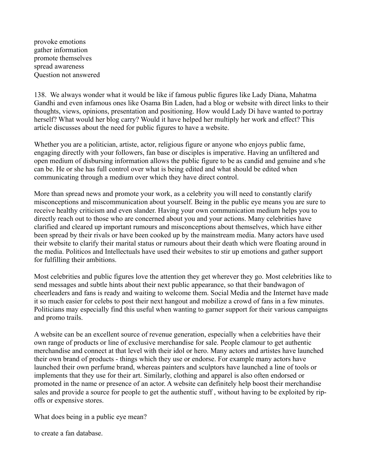provoke emotions gather information promote themselves spread awareness Question not answered

138. We always wonder what it would be like if famous public figures like Lady Diana, Mahatma Gandhi and even infamous ones like Osama Bin Laden, had a blog or website with direct links to their thoughts, views, opinions, presentation and positioning. How would Lady Di have wanted to portray herself? What would her blog carry? Would it have helped her multiply her work and effect? This article discusses about the need for public figures to have a website.

Whether you are a politician, artiste, actor, religious figure or anyone who enjoys public fame, engaging directly with your followers, fan base or disciples is imperative. Having an unfiltered and open medium of disbursing information allows the public figure to be as candid and genuine and s/he can be. He or she has full control over what is being edited and what should be edited when communicating through a medium over which they have direct control.

More than spread news and promote your work, as a celebrity you will need to constantly clarify misconceptions and miscommunication about yourself. Being in the public eye means you are sure to receive healthy criticism and even slander. Having your own communication medium helps you to directly reach out to those who are concerned about you and your actions. Many celebrities have clarified and cleared up important rumours and misconceptions about themselves, which have either been spread by their rivals or have been cooked up by the mainstream media. Many actors have used their website to clarify their marital status or rumours about their death which were floating around in the media. Politicos and Intellectuals have used their websites to stir up emotions and gather support for fulfilling their ambitions.

Most celebrities and public figures love the attention they get wherever they go. Most celebrities like to send messages and subtle hints about their next public appearance, so that their bandwagon of cheerleaders and fans is ready and waiting to welcome them. Social Media and the Internet have made it so much easier for celebs to post their next hangout and mobilize a crowd of fans in a few minutes. Politicians may especially find this useful when wanting to garner support for their various campaigns and promo trails.

A website can be an excellent source of revenue generation, especially when a celebrities have their own range of products or line of exclusive merchandise for sale. People clamour to get authentic merchandise and connect at that level with their idol or hero. Many actors and artistes have launched their own brand of products - things which they use or endorse. For example many actors have launched their own perfume brand, whereas painters and sculptors have launched a line of tools or implements that they use for their art. Similarly, clothing and apparel is also often endorsed or promoted in the name or presence of an actor. A website can definitely help boost their merchandise sales and provide a source for people to get the authentic stuff , without having to be exploited by ripoffs or expensive stores.

What does being in a public eye mean?

to create a fan database.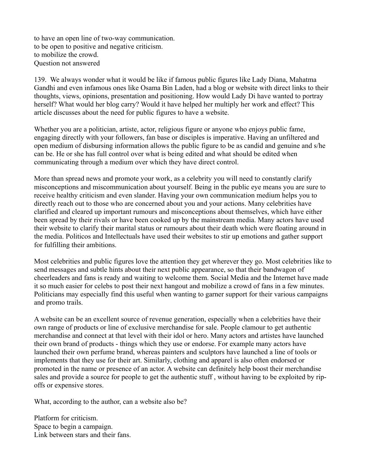to have an open line of two-way communication. to be open to positive and negative criticism. to mobilize the crowd. Question not answered

139. We always wonder what it would be like if famous public figures like Lady Diana, Mahatma Gandhi and even infamous ones like Osama Bin Laden, had a blog or website with direct links to their thoughts, views, opinions, presentation and positioning. How would Lady Di have wanted to portray herself? What would her blog carry? Would it have helped her multiply her work and effect? This article discusses about the need for public figures to have a website.

Whether you are a politician, artiste, actor, religious figure or anyone who enjoys public fame, engaging directly with your followers, fan base or disciples is imperative. Having an unfiltered and open medium of disbursing information allows the public figure to be as candid and genuine and s/he can be. He or she has full control over what is being edited and what should be edited when communicating through a medium over which they have direct control.

More than spread news and promote your work, as a celebrity you will need to constantly clarify misconceptions and miscommunication about yourself. Being in the public eye means you are sure to receive healthy criticism and even slander. Having your own communication medium helps you to directly reach out to those who are concerned about you and your actions. Many celebrities have clarified and cleared up important rumours and misconceptions about themselves, which have either been spread by their rivals or have been cooked up by the mainstream media. Many actors have used their website to clarify their marital status or rumours about their death which were floating around in the media. Politicos and Intellectuals have used their websites to stir up emotions and gather support for fulfilling their ambitions.

Most celebrities and public figures love the attention they get wherever they go. Most celebrities like to send messages and subtle hints about their next public appearance, so that their bandwagon of cheerleaders and fans is ready and waiting to welcome them. Social Media and the Internet have made it so much easier for celebs to post their next hangout and mobilize a crowd of fans in a few minutes. Politicians may especially find this useful when wanting to garner support for their various campaigns and promo trails.

A website can be an excellent source of revenue generation, especially when a celebrities have their own range of products or line of exclusive merchandise for sale. People clamour to get authentic merchandise and connect at that level with their idol or hero. Many actors and artistes have launched their own brand of products - things which they use or endorse. For example many actors have launched their own perfume brand, whereas painters and sculptors have launched a line of tools or implements that they use for their art. Similarly, clothing and apparel is also often endorsed or promoted in the name or presence of an actor. A website can definitely help boost their merchandise sales and provide a source for people to get the authentic stuff , without having to be exploited by ripoffs or expensive stores.

What, according to the author, can a website also be?

Platform for criticism. Space to begin a campaign. Link between stars and their fans.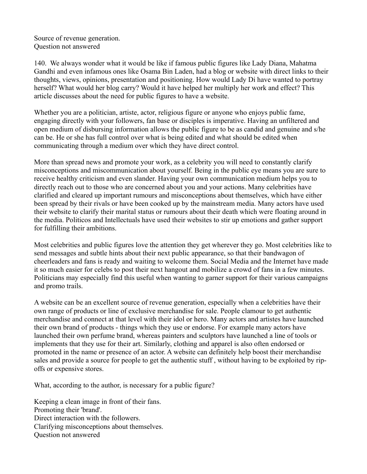Source of revenue generation. Question not answered

140. We always wonder what it would be like if famous public figures like Lady Diana, Mahatma Gandhi and even infamous ones like Osama Bin Laden, had a blog or website with direct links to their thoughts, views, opinions, presentation and positioning. How would Lady Di have wanted to portray herself? What would her blog carry? Would it have helped her multiply her work and effect? This article discusses about the need for public figures to have a website.

Whether you are a politician, artiste, actor, religious figure or anyone who enjoys public fame, engaging directly with your followers, fan base or disciples is imperative. Having an unfiltered and open medium of disbursing information allows the public figure to be as candid and genuine and s/he can be. He or she has full control over what is being edited and what should be edited when communicating through a medium over which they have direct control.

More than spread news and promote your work, as a celebrity you will need to constantly clarify misconceptions and miscommunication about yourself. Being in the public eye means you are sure to receive healthy criticism and even slander. Having your own communication medium helps you to directly reach out to those who are concerned about you and your actions. Many celebrities have clarified and cleared up important rumours and misconceptions about themselves, which have either been spread by their rivals or have been cooked up by the mainstream media. Many actors have used their website to clarify their marital status or rumours about their death which were floating around in the media. Politicos and Intellectuals have used their websites to stir up emotions and gather support for fulfilling their ambitions.

Most celebrities and public figures love the attention they get wherever they go. Most celebrities like to send messages and subtle hints about their next public appearance, so that their bandwagon of cheerleaders and fans is ready and waiting to welcome them. Social Media and the Internet have made it so much easier for celebs to post their next hangout and mobilize a crowd of fans in a few minutes. Politicians may especially find this useful when wanting to garner support for their various campaigns and promo trails.

A website can be an excellent source of revenue generation, especially when a celebrities have their own range of products or line of exclusive merchandise for sale. People clamour to get authentic merchandise and connect at that level with their idol or hero. Many actors and artistes have launched their own brand of products - things which they use or endorse. For example many actors have launched their own perfume brand, whereas painters and sculptors have launched a line of tools or implements that they use for their art. Similarly, clothing and apparel is also often endorsed or promoted in the name or presence of an actor. A website can definitely help boost their merchandise sales and provide a source for people to get the authentic stuff , without having to be exploited by ripoffs or expensive stores.

What, according to the author, is necessary for a public figure?

Keeping a clean image in front of their fans. Promoting their 'brand'. Direct interaction with the followers. Clarifying misconceptions about themselves. Question not answered